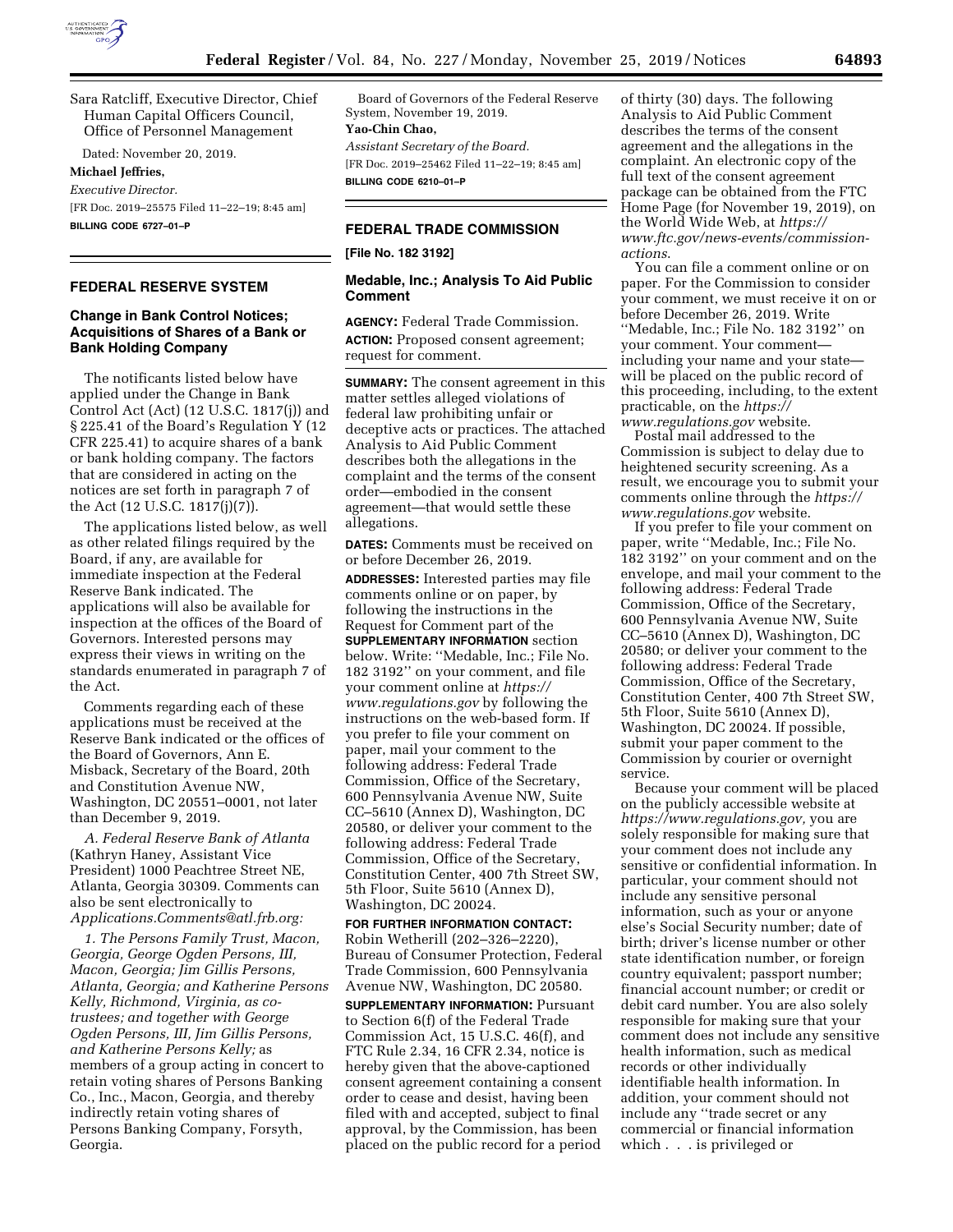

Sara Ratcliff, Executive Director, Chief Human Capital Officers Council, Office of Personnel Management

Dated: November 20, 2019.

#### **Michael Jeffries,**

*Executive Director.* 

[FR Doc. 2019–25575 Filed 11–22–19; 8:45 am] **BILLING CODE 6727–01–P** 

#### **FEDERAL RESERVE SYSTEM**

# **Change in Bank Control Notices; Acquisitions of Shares of a Bank or Bank Holding Company**

The notificants listed below have applied under the Change in Bank Control Act (Act) (12 U.S.C. 1817(j)) and § 225.41 of the Board's Regulation Y (12 CFR 225.41) to acquire shares of a bank or bank holding company. The factors that are considered in acting on the notices are set forth in paragraph 7 of the Act (12 U.S.C. 1817(j)(7)).

The applications listed below, as well as other related filings required by the Board, if any, are available for immediate inspection at the Federal Reserve Bank indicated. The applications will also be available for inspection at the offices of the Board of Governors. Interested persons may express their views in writing on the standards enumerated in paragraph 7 of the Act.

Comments regarding each of these applications must be received at the Reserve Bank indicated or the offices of the Board of Governors, Ann E. Misback, Secretary of the Board, 20th and Constitution Avenue NW, Washington, DC 20551–0001, not later than December 9, 2019.

*A. Federal Reserve Bank of Atlanta*  (Kathryn Haney, Assistant Vice President) 1000 Peachtree Street NE, Atlanta, Georgia 30309. Comments can also be sent electronically to *[Applications.Comments@atl.frb.org:](mailto:Applications.Comments@atl.frb.org)* 

*1. The Persons Family Trust, Macon, Georgia, George Ogden Persons, III, Macon, Georgia; Jim Gillis Persons, Atlanta, Georgia; and Katherine Persons Kelly, Richmond, Virginia, as cotrustees; and together with George Ogden Persons, III, Jim Gillis Persons, and Katherine Persons Kelly;* as members of a group acting in concert to retain voting shares of Persons Banking Co., Inc., Macon, Georgia, and thereby indirectly retain voting shares of Persons Banking Company, Forsyth, Georgia.

Board of Governors of the Federal Reserve System, November 19, 2019.

## **Yao-Chin Chao,**

*Assistant Secretary of the Board.*  [FR Doc. 2019–25462 Filed 11–22–19; 8:45 am] **BILLING CODE 6210–01–P** 

# **FEDERAL TRADE COMMISSION**

## **[File No. 182 3192]**

### **Medable, Inc.; Analysis To Aid Public Comment**

**AGENCY:** Federal Trade Commission. **ACTION:** Proposed consent agreement; request for comment.

**SUMMARY:** The consent agreement in this matter settles alleged violations of federal law prohibiting unfair or deceptive acts or practices. The attached Analysis to Aid Public Comment describes both the allegations in the complaint and the terms of the consent order—embodied in the consent agreement—that would settle these allegations.

**DATES:** Comments must be received on or before December 26, 2019.

**ADDRESSES:** Interested parties may file comments online or on paper, by following the instructions in the Request for Comment part of the **SUPPLEMENTARY INFORMATION** section below. Write: ''Medable, Inc.; File No. 182 3192'' on your comment, and file your comment online at *[https://](https://www.regulations.gov) [www.regulations.gov](https://www.regulations.gov)* by following the instructions on the web-based form. If you prefer to file your comment on paper, mail your comment to the following address: Federal Trade Commission, Office of the Secretary, 600 Pennsylvania Avenue NW, Suite CC–5610 (Annex D), Washington, DC 20580, or deliver your comment to the following address: Federal Trade Commission, Office of the Secretary, Constitution Center, 400 7th Street SW, 5th Floor, Suite 5610 (Annex D), Washington, DC 20024.

**FOR FURTHER INFORMATION CONTACT:**  Robin Wetherill (202–326–2220), Bureau of Consumer Protection, Federal Trade Commission, 600 Pennsylvania Avenue NW, Washington, DC 20580. **SUPPLEMENTARY INFORMATION: Pursuant** to Section 6(f) of the Federal Trade Commission Act, 15 U.S.C. 46(f), and FTC Rule 2.34, 16 CFR 2.34, notice is hereby given that the above-captioned consent agreement containing a consent order to cease and desist, having been filed with and accepted, subject to final approval, by the Commission, has been placed on the public record for a period

of thirty (30) days. The following Analysis to Aid Public Comment describes the terms of the consent agreement and the allegations in the complaint. An electronic copy of the full text of the consent agreement package can be obtained from the FTC Home Page (for November 19, 2019), on the World Wide Web, at *[https://](https://www.ftc.gov/news-events/commission-actions) [www.ftc.gov/news-events/commission](https://www.ftc.gov/news-events/commission-actions)[actions](https://www.ftc.gov/news-events/commission-actions)*.

You can file a comment online or on paper. For the Commission to consider your comment, we must receive it on or before December 26, 2019. Write ''Medable, Inc.; File No. 182 3192'' on your comment. Your comment including your name and your state will be placed on the public record of this proceeding, including, to the extent practicable, on the *[https://](https://www.regulations.gov) [www.regulations.gov](https://www.regulations.gov)* website.

Postal mail addressed to the Commission is subject to delay due to heightened security screening. As a result, we encourage you to submit your comments online through the *[https://](https://www.regulations.gov) [www.regulations.gov](https://www.regulations.gov)* website.

If you prefer to file your comment on paper, write ''Medable, Inc.; File No. 182 3192'' on your comment and on the envelope, and mail your comment to the following address: Federal Trade Commission, Office of the Secretary, 600 Pennsylvania Avenue NW, Suite CC–5610 (Annex D), Washington, DC 20580; or deliver your comment to the following address: Federal Trade Commission, Office of the Secretary, Constitution Center, 400 7th Street SW, 5th Floor, Suite 5610 (Annex D), Washington, DC 20024. If possible, submit your paper comment to the Commission by courier or overnight service.

Because your comment will be placed on the publicly accessible website at *[https://www.regulations.gov,](https://www.regulations.gov)* you are solely responsible for making sure that your comment does not include any sensitive or confidential information. In particular, your comment should not include any sensitive personal information, such as your or anyone else's Social Security number; date of birth; driver's license number or other state identification number, or foreign country equivalent; passport number; financial account number; or credit or debit card number. You are also solely responsible for making sure that your comment does not include any sensitive health information, such as medical records or other individually identifiable health information. In addition, your comment should not include any ''trade secret or any commercial or financial information which . . . is privileged or